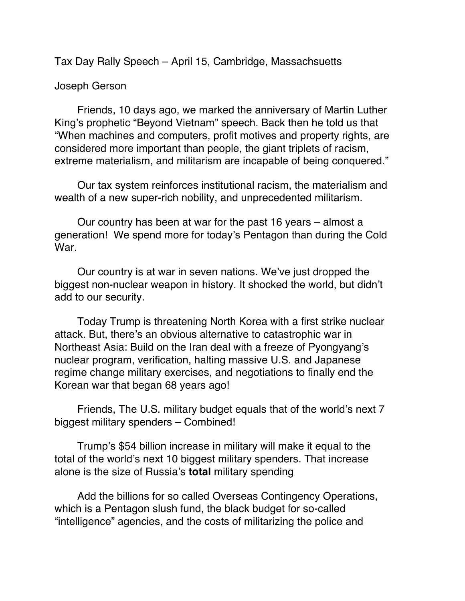Tax Day Rally Speech – April 15, Cambridge, Massachsuetts

## Joseph Gerson

Friends, 10 days ago, we marked the anniversary of Martin Luther King's prophetic "Beyond Vietnam" speech. Back then he told us that "When machines and computers, profit motives and property rights, are considered more important than people, the giant triplets of racism, extreme materialism, and militarism are incapable of being conquered."

Our tax system reinforces institutional racism, the materialism and wealth of a new super-rich nobility, and unprecedented militarism.

Our country has been at war for the past 16 years – almost a generation! We spend more for today's Pentagon than during the Cold War.

Our country is at war in seven nations. We've just dropped the biggest non-nuclear weapon in history. It shocked the world, but didn't add to our security.

Today Trump is threatening North Korea with a first strike nuclear attack. But, there's an obvious alternative to catastrophic war in Northeast Asia: Build on the Iran deal with a freeze of Pyongyang's nuclear program, verification, halting massive U.S. and Japanese regime change military exercises, and negotiations to finally end the Korean war that began 68 years ago!

Friends, The U.S. military budget equals that of the world's next 7 biggest military spenders – Combined!

Trump's \$54 billion increase in military will make it equal to the total of the world's next 10 biggest military spenders. That increase alone is the size of Russia's **total** military spending

Add the billions for so called Overseas Contingency Operations, which is a Pentagon slush fund, the black budget for so-called "intelligence" agencies, and the costs of militarizing the police and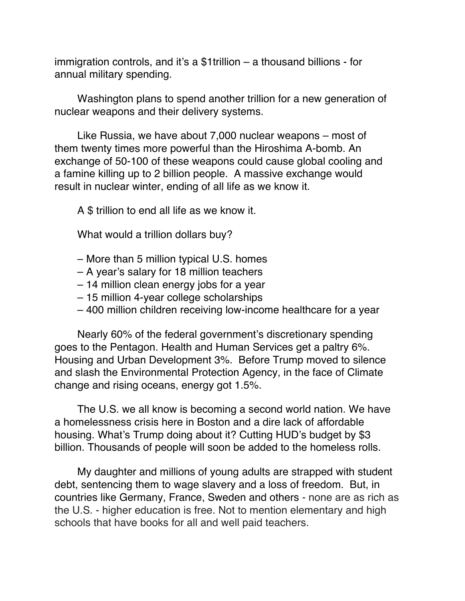immigration controls, and it's a \$1trillion – a thousand billions - for annual military spending.

Washington plans to spend another trillion for a new generation of nuclear weapons and their delivery systems.

Like Russia, we have about 7,000 nuclear weapons – most of them twenty times more powerful than the Hiroshima A-bomb. An exchange of 50-100 of these weapons could cause global cooling and a famine killing up to 2 billion people. A massive exchange would result in nuclear winter, ending of all life as we know it.

A \$ trillion to end all life as we know it.

What would a trillion dollars buy?

- More than 5 million typical U.S. homes
- A year's salary for 18 million teachers
- 14 million clean energy jobs for a year
- 15 million 4-year college scholarships
- 400 million children receiving low-income healthcare for a year

Nearly 60% of the federal government's discretionary spending goes to the Pentagon. Health and Human Services get a paltry 6%. Housing and Urban Development 3%. Before Trump moved to silence and slash the Environmental Protection Agency, in the face of Climate change and rising oceans, energy got 1.5%.

The U.S. we all know is becoming a second world nation. We have a homelessness crisis here in Boston and a dire lack of affordable housing. What's Trump doing about it? Cutting HUD's budget by \$3 billion. Thousands of people will soon be added to the homeless rolls.

My daughter and millions of young adults are strapped with student debt, sentencing them to wage slavery and a loss of freedom. But, in countries like Germany, France, Sweden and others - none are as rich as the U.S. - higher education is free. Not to mention elementary and high schools that have books for all and well paid teachers.